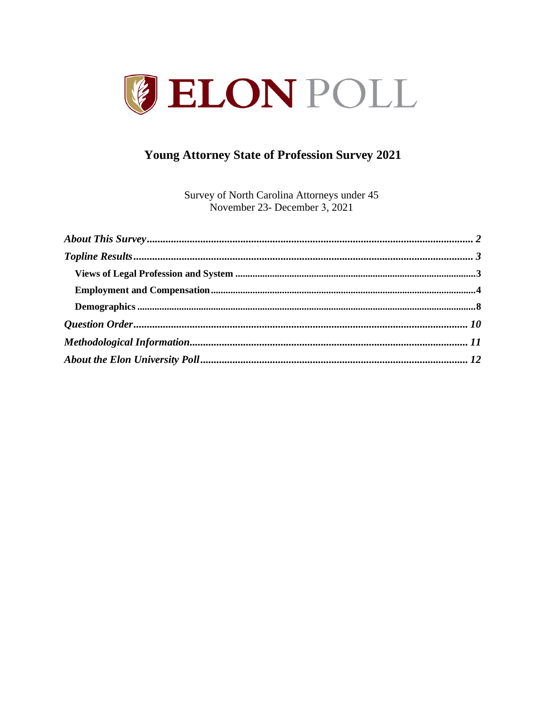

# **Young Attorney State of Profession Survey 2021**

Survey of North Carolina Attorneys under 45 November 23- December 3, 2021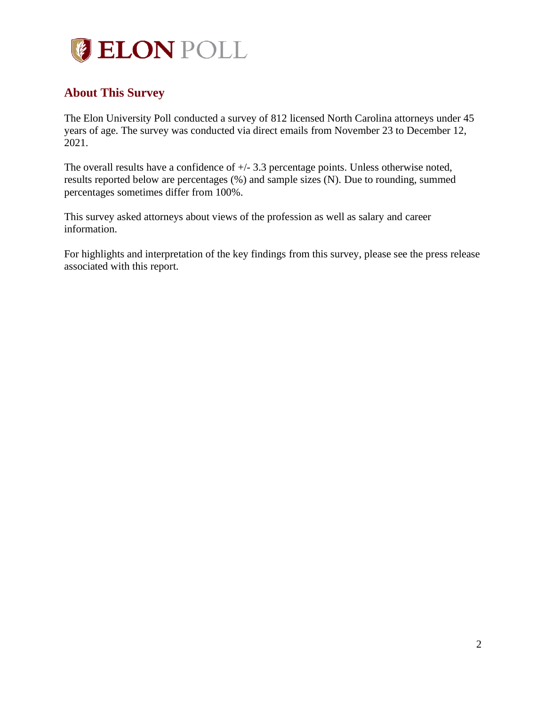

# <span id="page-1-0"></span>**About This Survey**

The Elon University Poll conducted a survey of 812 licensed North Carolina attorneys under 45 years of age. The survey was conducted via direct emails from November 23 to December 12, 2021.

The overall results have a confidence of +/- 3.3 percentage points. Unless otherwise noted, results reported below are percentages (%) and sample sizes (N). Due to rounding, summed percentages sometimes differ from 100%.

This survey asked attorneys about views of the profession as well as salary and career information.

For highlights and interpretation of the key findings from this survey, please see the press release associated with this report.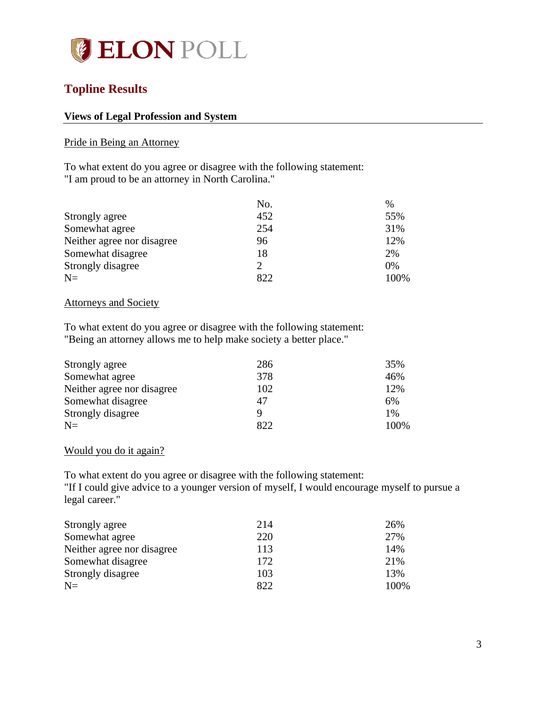

## <span id="page-2-0"></span>**Topline Results**

### <span id="page-2-1"></span>**Views of Legal Profession and System**

### Pride in Being an Attorney

To what extent do you agree or disagree with the following statement: "I am proud to be an attorney in North Carolina."

|                            | No.            | $\%$  |
|----------------------------|----------------|-------|
| Strongly agree             | 452            | 55%   |
| Somewhat agree             | 254            | 31%   |
| Neither agree nor disagree | 96             | 12%   |
| Somewhat disagree          | 18             | 2%    |
| Strongly disagree          | $\overline{2}$ | $0\%$ |
| $N=$                       | 822            | 100%  |

#### Attorneys and Society

To what extent do you agree or disagree with the following statement: "Being an attorney allows me to help make society a better place."

| Strongly agree             | 286 | 35%   |
|----------------------------|-----|-------|
| Somewhat agree             | 378 | 46%   |
| Neither agree nor disagree | 102 | 12%   |
| Somewhat disagree          | 47  | 6%    |
| Strongly disagree          | Q   | $1\%$ |
| $N=$                       | 822 | 100%  |

### Would you do it again?

To what extent do you agree or disagree with the following statement: "If I could give advice to a younger version of myself, I would encourage myself to pursue a legal career."

| Strongly agree             | 214 | 26%  |
|----------------------------|-----|------|
| Somewhat agree             | 220 | 27%  |
| Neither agree nor disagree | 113 | 14%  |
| Somewhat disagree          | 172 | 21%  |
| Strongly disagree          | 103 | 13%  |
| $N=$                       | 822 | 100% |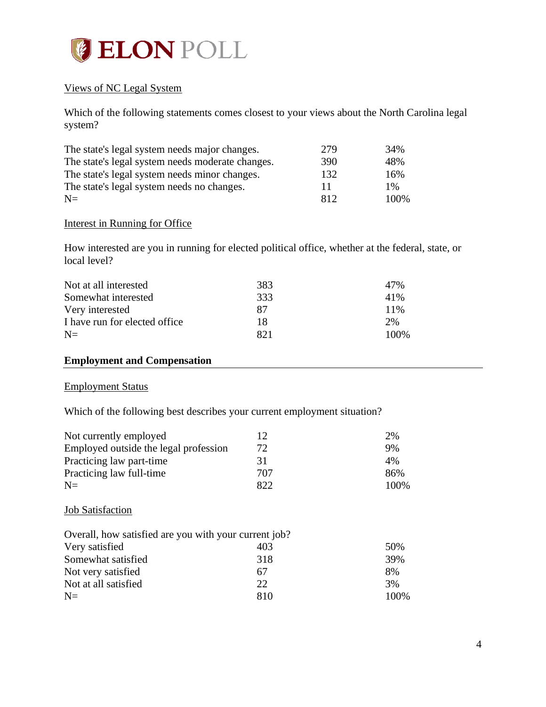

### Views of NC Legal System

Which of the following statements comes closest to your views about the North Carolina legal system?

| The state's legal system needs major changes.    | 279 | 34%   |
|--------------------------------------------------|-----|-------|
| The state's legal system needs moderate changes. | 390 | 48%   |
| The state's legal system needs minor changes.    | 132 | 16%   |
| The state's legal system needs no changes.       | 11  | $1\%$ |
| $N=$                                             | 812 | 100\% |

### Interest in Running for Office

How interested are you in running for elected political office, whether at the federal, state, or local level?

| Not at all interested          | 383 | 47%   |
|--------------------------------|-----|-------|
| Somewhat interested            | 333 | 41%   |
| Very interested                | 87  | 11%   |
| I have run for elected office. | 18  | 2%    |
| $N=$                           |     | 100\% |

## <span id="page-3-0"></span>**Employment and Compensation**

### Employment Status

Which of the following best describes your current employment situation?

| Not currently employed                |     | 2%    |
|---------------------------------------|-----|-------|
| Employed outside the legal profession | 72  | 9%    |
| Practicing law part-time              | 31  | 4%    |
| Practicing law full-time              | 707 | 86%   |
| $N=$                                  | 822 | 100\% |

### **Job Satisfaction**

| Overall, how satisfied are you with your current job? |     |       |
|-------------------------------------------------------|-----|-------|
| Very satisfied                                        | 403 | 50%   |
| Somewhat satisfied                                    | 318 | 39%   |
| Not very satisfied                                    | 67  | 8%    |
| Not at all satisfied                                  | 22. | 3%    |
| $N=$                                                  | 810 | 100\% |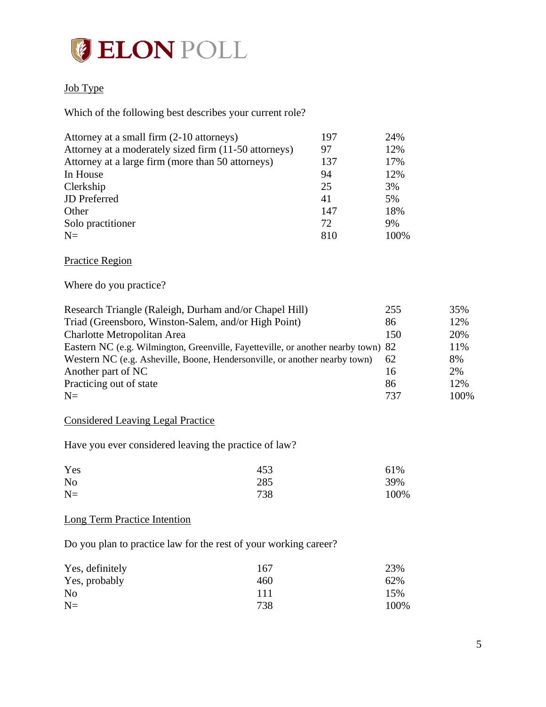

### Job Type

Which of the following best describes your current role?

| Attorney at a small firm (2-10 attorneys)             | 197 | 24%  |
|-------------------------------------------------------|-----|------|
| Attorney at a moderately sized firm (11-50 attorneys) | 97  | 12%  |
| Attorney at a large firm (more than 50 attorneys)     | 137 | 17%  |
| In House                                              | 94  | 12%  |
| Clerkship                                             | 25  | 3%   |
| <b>JD</b> Preferred                                   | 41  | 5%   |
| Other                                                 | 147 | 18%  |
| Solo practitioner                                     | 72  | 9%   |
| $N=$                                                  | 810 | 100% |

Practice Region

Where do you practice?

| Research Triangle (Raleigh, Durham and/or Chapel Hill)                            | 255 | 35%  |
|-----------------------------------------------------------------------------------|-----|------|
| Triad (Greensboro, Winston-Salem, and/or High Point)                              | 86  | 12%  |
| Charlotte Metropolitan Area                                                       | 150 | 20%  |
| Eastern NC (e.g. Wilmington, Greenville, Fayetteville, or another nearby town) 82 |     | 11%  |
| Western NC (e.g. Asheville, Boone, Hendersonville, or another nearby town)        | 62  | 8%   |
| Another part of NC                                                                | 16  | 2%   |
| Practicing out of state                                                           | 86  | 12%  |
| $N=$                                                                              | 737 | 100% |

### Considered Leaving Legal Practice

Have you ever considered leaving the practice of law?

| Yes            | 453 | 61%  |
|----------------|-----|------|
| N <sub>o</sub> | 285 | 39%  |
| $N=$           | 738 | 100% |

### Long Term Practice Intention

Do you plan to practice law for the rest of your working career?

| Yes, definitely | 167 | 23%  |
|-----------------|-----|------|
| Yes, probably   | 460 | 62%  |
| N <sub>0</sub>  | 111 | 15%  |
| $N=$            | 738 | 100% |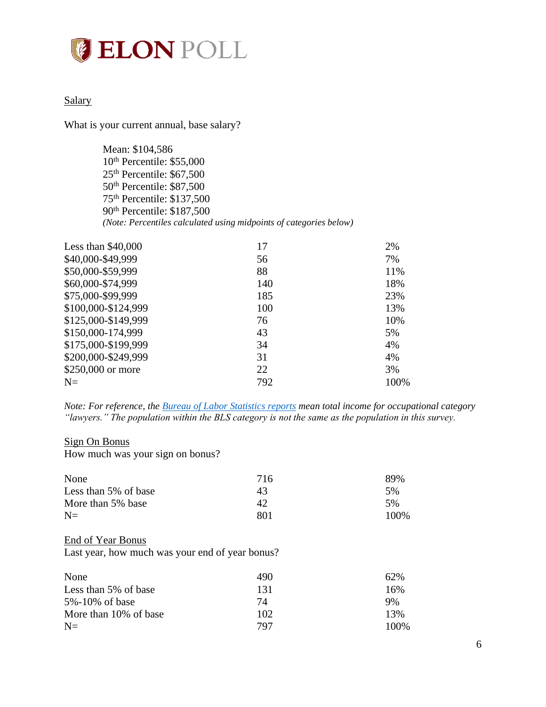# **ELON POLL**

### **Salary**

What is your current annual, base salary?

Mean: \$104,586 10<sup>th</sup> Percentile: \$55,000 25th Percentile: \$67,500 50<sup>th</sup> Percentile: \$87,500 75th Percentile: \$137,500 90th Percentile: \$187,500 *(Note: Percentiles calculated using midpoints of categories below)*

| Less than $$40,000$ | 17  | 2%   |
|---------------------|-----|------|
| \$40,000-\$49,999   | 56  | 7%   |
| \$50,000-\$59,999   | 88  | 11%  |
| \$60,000-\$74,999   | 140 | 18%  |
| \$75,000-\$99,999   | 185 | 23%  |
| \$100,000-\$124,999 | 100 | 13%  |
| \$125,000-\$149,999 | 76  | 10%  |
| \$150,000-174,999   | 43  | 5%   |
| \$175,000-\$199,999 | 34  | 4%   |
| \$200,000-\$249,999 | 31  | 4%   |
| \$250,000 or more   | 22  | 3%   |
| $N =$               | 792 | 100% |

*Note: For reference, th[e Bureau of Labor Statistics reports](https://www.bls.gov/oes/current/oes231011.htm) mean total income for occupational category "lawyers." The population within the BLS category is not the same as the population in this survey.*

### Sign On Bonus

How much was your sign on bonus?

| None                 | 716 | 89%  |
|----------------------|-----|------|
| Less than 5% of base | 43  | 5%   |
| More than 5% base    | 42  | 5%   |
| $N=$                 | 801 | 100% |

### End of Year Bonus

Last year, how much was your end of year bonus?

| None                  | 490 | 62%  |
|-----------------------|-----|------|
| Less than 5% of base  | 131 | 16%  |
| 5%-10% of base        | 74  | 9%   |
| More than 10% of base | 102 | 13%  |
| $N=$                  | 797 | 100% |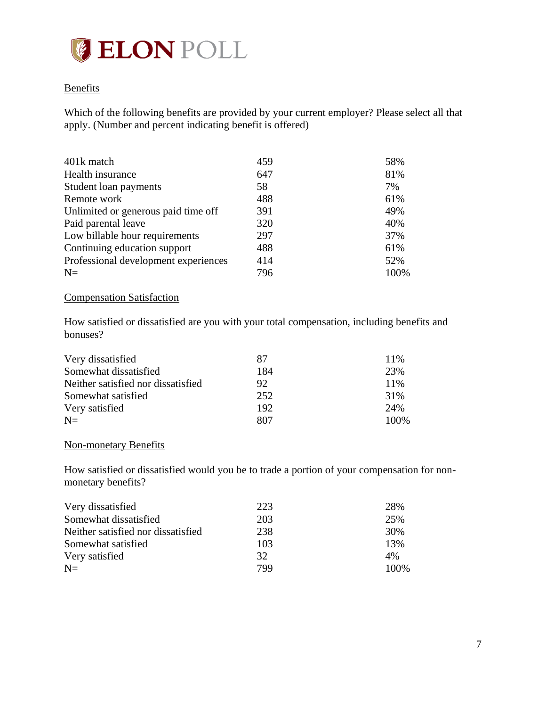# **ELON POLL**

### **Benefits**

Which of the following benefits are provided by your current employer? Please select all that apply. (Number and percent indicating benefit is offered)

| 401k match                           | 459 | 58%  |
|--------------------------------------|-----|------|
| Health insurance                     | 647 | 81%  |
| Student loan payments                | 58  | 7%   |
| Remote work                          | 488 | 61%  |
| Unlimited or generous paid time off  | 391 | 49%  |
| Paid parental leave                  | 320 | 40%  |
| Low billable hour requirements       | 297 | 37%  |
| Continuing education support         | 488 | 61%  |
| Professional development experiences | 414 | 52%  |
| $N=$                                 | 796 | 100% |

## Compensation Satisfaction

How satisfied or dissatisfied are you with your total compensation, including benefits and bonuses?

| Very dissatisfied                  | 87  | 11\% |
|------------------------------------|-----|------|
| Somewhat dissatisfied              | 184 | 23%  |
| Neither satisfied nor dissatisfied | 92  | 11\% |
| Somewhat satisfied                 | 252 | 31%  |
| Very satisfied                     | 192 | 24%  |
| $N=$                               | 807 | 100% |

## Non-monetary Benefits

How satisfied or dissatisfied would you be to trade a portion of your compensation for nonmonetary benefits?

| Very dissatisfied                  | 223 | 28%  |
|------------------------------------|-----|------|
| Somewhat dissatisfied              | 203 | 25%  |
| Neither satisfied nor dissatisfied | 238 | 30%  |
| Somewhat satisfied                 | 103 | 13%  |
| Very satisfied                     | 32  | 4%   |
| $N=$                               | 799 | 100% |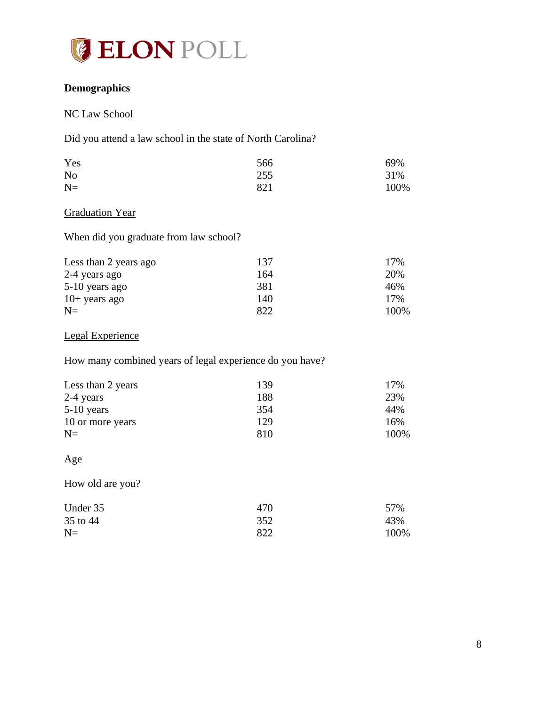

## <span id="page-7-0"></span>**Demographics**

## NC Law School

Did you attend a law school in the state of North Carolina?

| Yes            | 566 | 69%  |
|----------------|-----|------|
| N <sub>o</sub> | 255 | 31%  |
| $N=$           | 821 | 100% |

## **Graduation Year**

When did you graduate from law school?

| Less than 2 years ago | 137 | 17%  |
|-----------------------|-----|------|
| 2-4 years ago         | 164 | 20%  |
| 5-10 years ago        | 381 | 46%  |
| $10+$ years ago       | 140 | 17%  |
| $N=$                  | റാ  | 100% |

## Legal Experience

How many combined years of legal experience do you have?

| Less than 2 years | 139 | 17%  |
|-------------------|-----|------|
| 2-4 years         | 188 | 23%  |
| $5-10$ years      | 354 | 44%  |
| 10 or more years  | 129 | 16%  |
| $N=$              | 810 | 100% |

### Age

How old are you?

| Under 35 | 470 | 57%  |
|----------|-----|------|
| 35 to 44 | 352 | 43%  |
| $N=$     | 822 | 100% |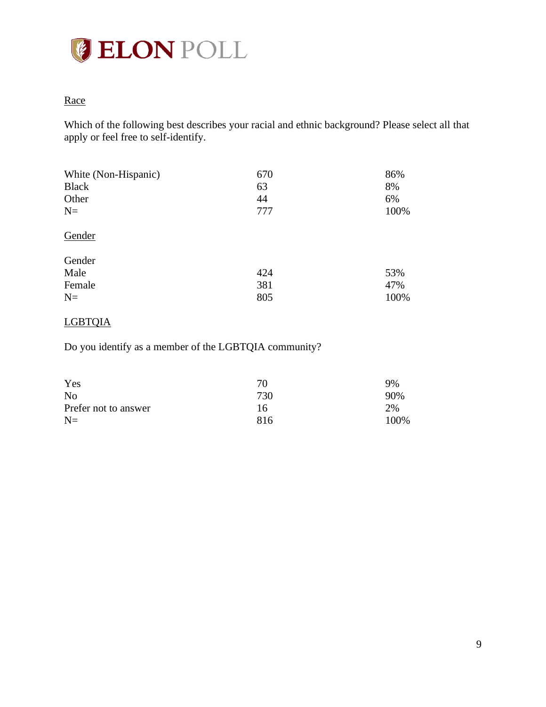

## **Race**

Which of the following best describes your racial and ethnic background? Please select all that apply or feel free to self-identify.

| White (Non-Hispanic)<br><b>Black</b><br>Other<br>$N=$ | 670<br>63<br>44<br>777 | 86%<br>8%<br>6%<br>100% |
|-------------------------------------------------------|------------------------|-------------------------|
| Gender                                                |                        |                         |
| Gender                                                |                        |                         |
| Male                                                  | 424                    | 53%                     |
| Female                                                | 381                    | 47%                     |
| $N=$                                                  | 805                    | 100%                    |

## LGBTQIA

Do you identify as a member of the LGBTQIA community?

| Yes                  | 70  | 9%   |
|----------------------|-----|------|
| N <sub>0</sub>       | 730 | 90%  |
| Prefer not to answer | 16  | 2%   |
| $N=$                 | 816 | 100% |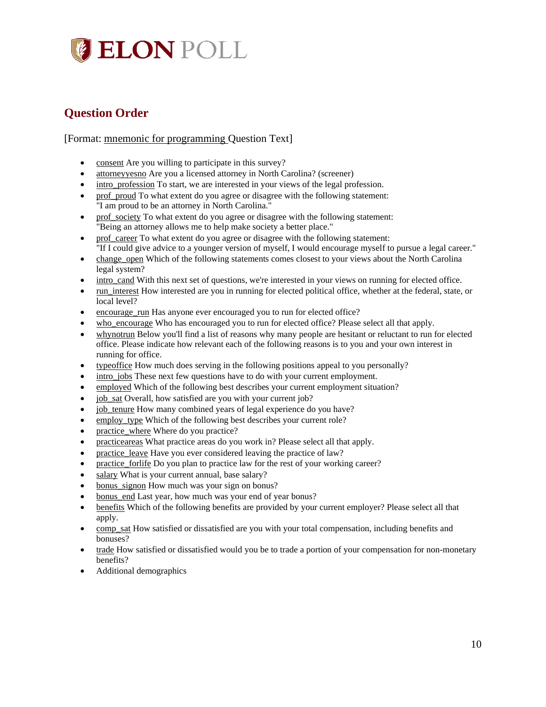# **JELON POLL**

# <span id="page-9-0"></span>**Question Order**

### [Format: mnemonic for programming Question Text]

- consent Are you willing to participate in this survey?
- attorneyyesno Are you a licensed attorney in North Carolina? (screener)
- intro\_profession To start, we are interested in your views of the legal profession.
- prof proud To what extent do you agree or disagree with the following statement: "I am proud to be an attorney in North Carolina."
- prof\_society To what extent do you agree or disagree with the following statement: "Being an attorney allows me to help make society a better place."
- prof\_career To what extent do you agree or disagree with the following statement: "If I could give advice to a younger version of myself, I would encourage myself to pursue a legal career."
- change\_open Which of the following statements comes closest to your views about the North Carolina legal system?
- intro\_cand With this next set of questions, we're interested in your views on running for elected office.
- run interest How interested are you in running for elected political office, whether at the federal, state, or local level?
- encourage run Has anyone ever encouraged you to run for elected office?
- who\_encourage Who has encouraged you to run for elected office? Please select all that apply.
- whynotrun Below you'll find a list of reasons why many people are hesitant or reluctant to run for elected office. Please indicate how relevant each of the following reasons is to you and your own interest in running for office.
- typeoffice How much does serving in the following positions appeal to you personally?
- intro jobs These next few questions have to do with your current employment.
- employed Which of the following best describes your current employment situation?
- job\_sat Overall, how satisfied are you with your current job?
- job tenure How many combined years of legal experience do you have?
- employ type Which of the following best describes your current role?
- practice\_where Where do you practice?
- practiceareas What practice areas do you work in? Please select all that apply.
- practice\_leave Have you ever considered leaving the practice of law?
- practice forlife Do you plan to practice law for the rest of your working career?
- salary What is your current annual, base salary?
- bonus signon How much was your sign on bonus?
- bonus end Last year, how much was your end of year bonus?
- benefits Which of the following benefits are provided by your current employer? Please select all that apply.
- comp\_sat How satisfied or dissatisfied are you with your total compensation, including benefits and bonuses?
- trade How satisfied or dissatisfied would you be to trade a portion of your compensation for non-monetary benefits?
- Additional demographics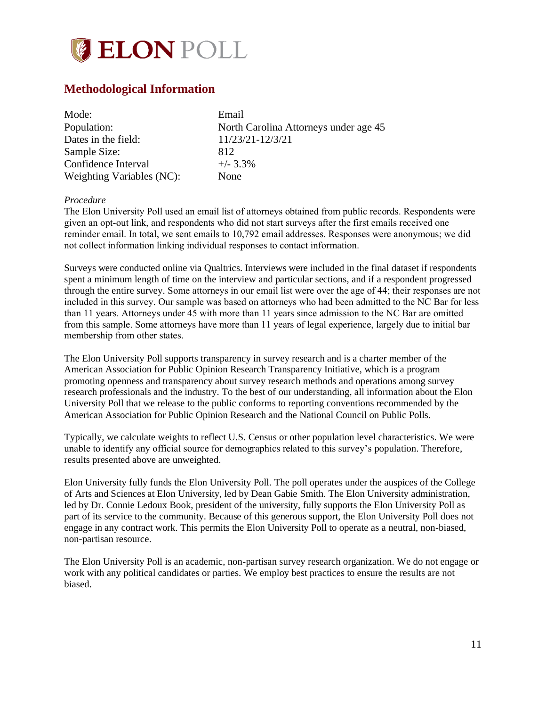

## <span id="page-10-0"></span>**Methodological Information**

| Mode:                     | Email                                 |
|---------------------------|---------------------------------------|
| Population:               | North Carolina Attorneys under age 45 |
| Dates in the field:       | 11/23/21-12/3/21                      |
| Sample Size:              | 812                                   |
| Confidence Interval       | $+/- 3.3\%$                           |
| Weighting Variables (NC): | None                                  |

#### *Procedure*

The Elon University Poll used an email list of attorneys obtained from public records. Respondents were given an opt-out link, and respondents who did not start surveys after the first emails received one reminder email. In total, we sent emails to 10,792 email addresses. Responses were anonymous; we did not collect information linking individual responses to contact information.

Surveys were conducted online via Qualtrics. Interviews were included in the final dataset if respondents spent a minimum length of time on the interview and particular sections, and if a respondent progressed through the entire survey. Some attorneys in our email list were over the age of 44; their responses are not included in this survey. Our sample was based on attorneys who had been admitted to the NC Bar for less than 11 years. Attorneys under 45 with more than 11 years since admission to the NC Bar are omitted from this sample. Some attorneys have more than 11 years of legal experience, largely due to initial bar membership from other states.

The Elon University Poll supports transparency in survey research and is a charter member of the American Association for Public Opinion Research Transparency Initiative, which is a program promoting openness and transparency about survey research methods and operations among survey research professionals and the industry. To the best of our understanding, all information about the Elon University Poll that we release to the public conforms to reporting conventions recommended by the American Association for Public Opinion Research and the National Council on Public Polls.

Typically, we calculate weights to reflect U.S. Census or other population level characteristics. We were unable to identify any official source for demographics related to this survey's population. Therefore, results presented above are unweighted.

Elon University fully funds the Elon University Poll. The poll operates under the auspices of the College of Arts and Sciences at Elon University, led by Dean Gabie Smith. The Elon University administration, led by Dr. Connie Ledoux Book, president of the university, fully supports the Elon University Poll as part of its service to the community. Because of this generous support, the Elon University Poll does not engage in any contract work. This permits the Elon University Poll to operate as a neutral, non-biased, non-partisan resource.

The Elon University Poll is an academic, non-partisan survey research organization. We do not engage or work with any political candidates or parties. We employ best practices to ensure the results are not biased.